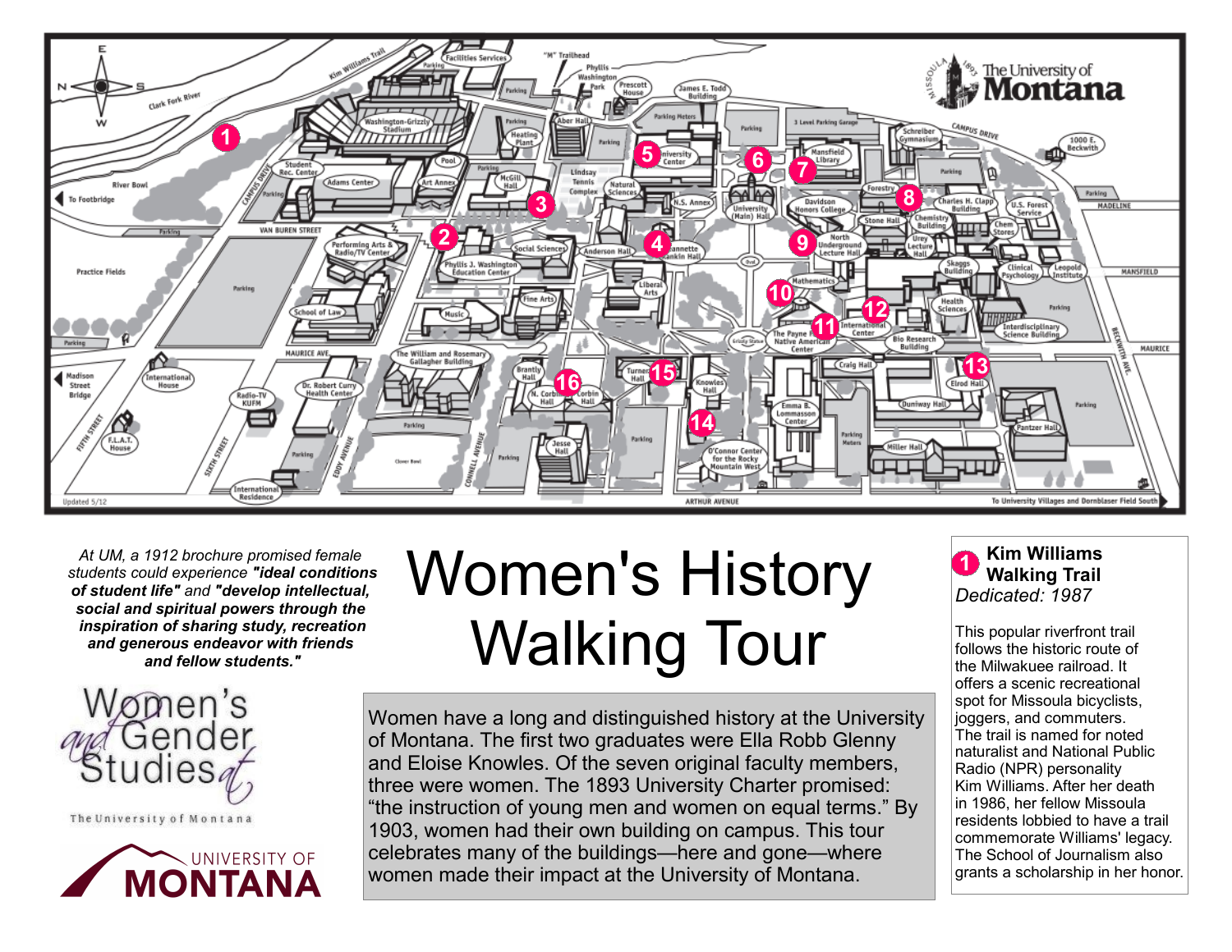

*At UM, a 1912 brochure promised female students could experience "ideal conditions of student life" and "develop intellectual, social and spiritual powers through the inspiration of sharing study, recreation and generous endeavor with friends and fellow students."*



The University of Montana



Women's History Walking Tour

Women have a long and distinguished history at the University of Montana. The first two graduates were Ella Robb Glenny and Eloise Knowles. Of the seven original faculty members, three were women. The 1893 University Charter promised: "the instruction of young men and women on equal terms." By 1903, women had their own building on campus. This tour celebrates many of the buildings—here and gone—where women made their impact at the University of Montana.



This popular riverfront trail follows the historic route of the Milwakuee railroad. It offers a scenic recreational spot for Missoula bicyclists, joggers, and commuters. The trail is named for noted naturalist and National Public Radio (NPR) personality Kim Williams. After her death in 1986, her fellow Missoula residents lobbied to have a trail commemorate Williams' legacy. The School of Journalism also grants a scholarship in her honor.